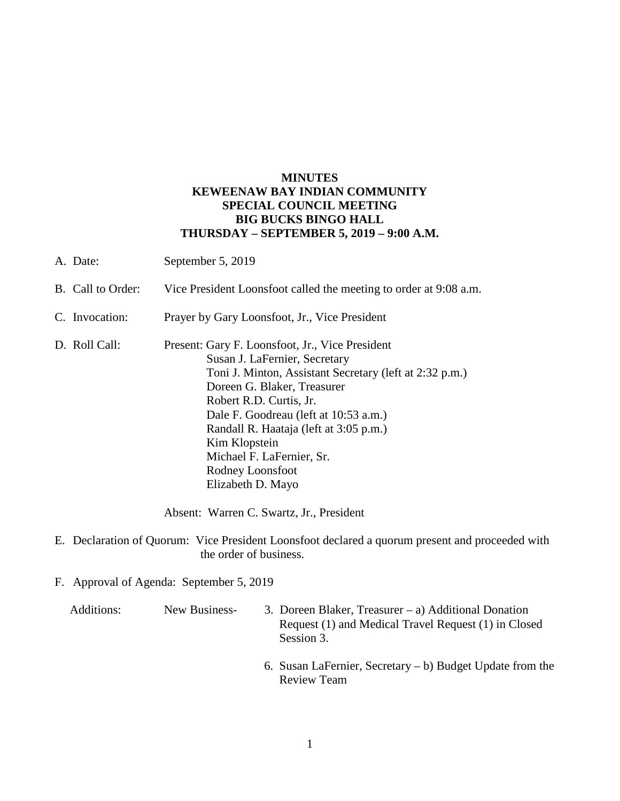## **MINUTES KEWEENAW BAY INDIAN COMMUNITY SPECIAL COUNCIL MEETING BIG BUCKS BINGO HALL THURSDAY – SEPTEMBER 5, 2019 – 9:00 A.M.**

A. Date: September 5, 2019 B. Call to Order: Vice President Loonsfoot called the meeting to order at 9:08 a.m. C. Invocation: Prayer by Gary Loonsfoot, Jr., Vice President D. Roll Call: Present: Gary F. Loonsfoot, Jr., Vice President Susan J. LaFernier, Secretary Toni J. Minton, Assistant Secretary (left at 2:32 p.m.) Doreen G. Blaker, Treasurer Robert R.D. Curtis, Jr. Dale F. Goodreau (left at 10:53 a.m.) Randall R. Haataja (left at 3:05 p.m.) Kim Klopstein Michael F. LaFernier, Sr. Rodney Loonsfoot Elizabeth D. Mayo

Absent: Warren C. Swartz, Jr., President

- E. Declaration of Quorum: Vice President Loonsfoot declared a quorum present and proceeded with the order of business.
- F. Approval of Agenda: September 5, 2019

 Additions: New Business- 3. Doreen Blaker, Treasurer – a) Additional Donation Request (1) and Medical Travel Request (1) in Closed Session 3.

> 6. Susan LaFernier, Secretary – b) Budget Update from the Review Team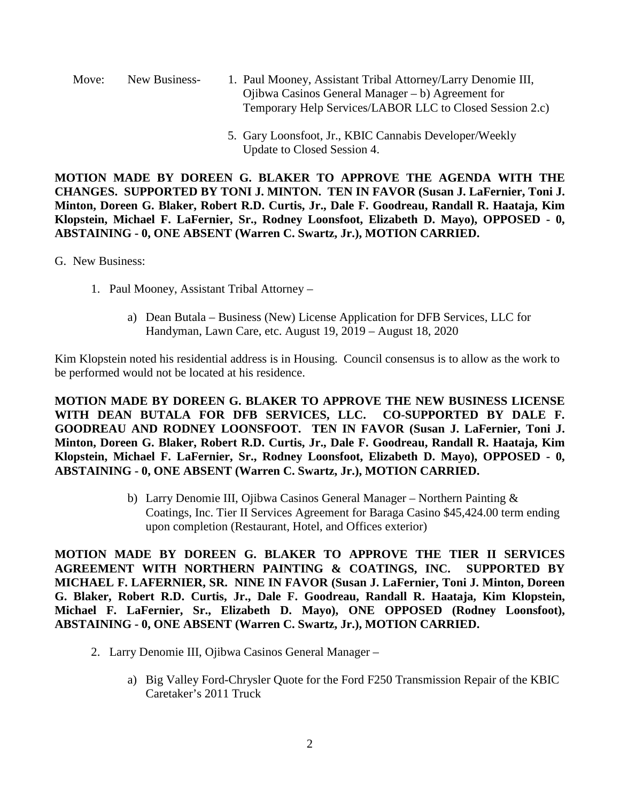Move: New Business- 1. Paul Mooney, Assistant Tribal Attorney/Larry Denomie III, Ojibwa Casinos General Manager – b) Agreement for Temporary Help Services/LABOR LLC to Closed Session 2.c)

> 5. Gary Loonsfoot, Jr., KBIC Cannabis Developer/Weekly Update to Closed Session 4.

**MOTION MADE BY DOREEN G. BLAKER TO APPROVE THE AGENDA WITH THE CHANGES. SUPPORTED BY TONI J. MINTON. TEN IN FAVOR (Susan J. LaFernier, Toni J. Minton, Doreen G. Blaker, Robert R.D. Curtis, Jr., Dale F. Goodreau, Randall R. Haataja, Kim Klopstein, Michael F. LaFernier, Sr., Rodney Loonsfoot, Elizabeth D. Mayo), OPPOSED - 0, ABSTAINING - 0, ONE ABSENT (Warren C. Swartz, Jr.), MOTION CARRIED.**

- G. New Business:
	- 1. Paul Mooney, Assistant Tribal Attorney
		- a) Dean Butala Business (New) License Application for DFB Services, LLC for Handyman, Lawn Care, etc. August 19, 2019 – August 18, 2020

Kim Klopstein noted his residential address is in Housing. Council consensus is to allow as the work to be performed would not be located at his residence.

**MOTION MADE BY DOREEN G. BLAKER TO APPROVE THE NEW BUSINESS LICENSE WITH DEAN BUTALA FOR DFB SERVICES, LLC. CO-SUPPORTED BY DALE F. GOODREAU AND RODNEY LOONSFOOT. TEN IN FAVOR (Susan J. LaFernier, Toni J. Minton, Doreen G. Blaker, Robert R.D. Curtis, Jr., Dale F. Goodreau, Randall R. Haataja, Kim Klopstein, Michael F. LaFernier, Sr., Rodney Loonsfoot, Elizabeth D. Mayo), OPPOSED - 0, ABSTAINING - 0, ONE ABSENT (Warren C. Swartz, Jr.), MOTION CARRIED.**

> b) Larry Denomie III, Ojibwa Casinos General Manager – Northern Painting & Coatings, Inc. Tier II Services Agreement for Baraga Casino \$45,424.00 term ending upon completion (Restaurant, Hotel, and Offices exterior)

**MOTION MADE BY DOREEN G. BLAKER TO APPROVE THE TIER II SERVICES AGREEMENT WITH NORTHERN PAINTING & COATINGS, INC. SUPPORTED BY MICHAEL F. LAFERNIER, SR. NINE IN FAVOR (Susan J. LaFernier, Toni J. Minton, Doreen G. Blaker, Robert R.D. Curtis, Jr., Dale F. Goodreau, Randall R. Haataja, Kim Klopstein, Michael F. LaFernier, Sr., Elizabeth D. Mayo), ONE OPPOSED (Rodney Loonsfoot), ABSTAINING - 0, ONE ABSENT (Warren C. Swartz, Jr.), MOTION CARRIED.**

- 2. Larry Denomie III, Ojibwa Casinos General Manager
	- a) Big Valley Ford-Chrysler Quote for the Ford F250 Transmission Repair of the KBIC Caretaker's 2011 Truck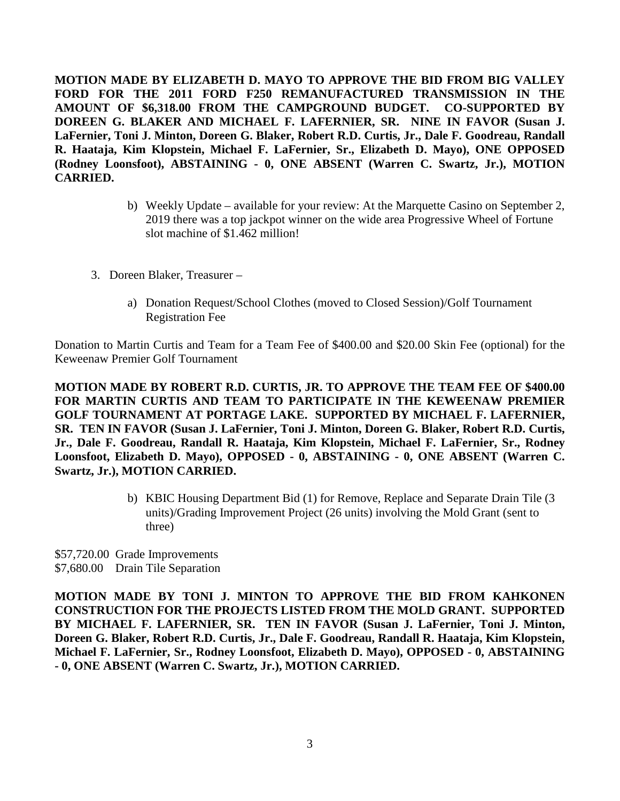**MOTION MADE BY ELIZABETH D. MAYO TO APPROVE THE BID FROM BIG VALLEY FORD FOR THE 2011 FORD F250 REMANUFACTURED TRANSMISSION IN THE AMOUNT OF \$6,318.00 FROM THE CAMPGROUND BUDGET. CO-SUPPORTED BY DOREEN G. BLAKER AND MICHAEL F. LAFERNIER, SR. NINE IN FAVOR (Susan J. LaFernier, Toni J. Minton, Doreen G. Blaker, Robert R.D. Curtis, Jr., Dale F. Goodreau, Randall R. Haataja, Kim Klopstein, Michael F. LaFernier, Sr., Elizabeth D. Mayo), ONE OPPOSED (Rodney Loonsfoot), ABSTAINING - 0, ONE ABSENT (Warren C. Swartz, Jr.), MOTION CARRIED.**

- b) Weekly Update available for your review: At the Marquette Casino on September 2, 2019 there was a top jackpot winner on the wide area Progressive Wheel of Fortune slot machine of \$1.462 million!
- 3. Doreen Blaker, Treasurer
	- a) Donation Request/School Clothes (moved to Closed Session)/Golf Tournament Registration Fee

Donation to Martin Curtis and Team for a Team Fee of \$400.00 and \$20.00 Skin Fee (optional) for the Keweenaw Premier Golf Tournament

**MOTION MADE BY ROBERT R.D. CURTIS, JR. TO APPROVE THE TEAM FEE OF \$400.00 FOR MARTIN CURTIS AND TEAM TO PARTICIPATE IN THE KEWEENAW PREMIER GOLF TOURNAMENT AT PORTAGE LAKE. SUPPORTED BY MICHAEL F. LAFERNIER, SR. TEN IN FAVOR (Susan J. LaFernier, Toni J. Minton, Doreen G. Blaker, Robert R.D. Curtis, Jr., Dale F. Goodreau, Randall R. Haataja, Kim Klopstein, Michael F. LaFernier, Sr., Rodney Loonsfoot, Elizabeth D. Mayo), OPPOSED - 0, ABSTAINING - 0, ONE ABSENT (Warren C. Swartz, Jr.), MOTION CARRIED.**

> b) KBIC Housing Department Bid (1) for Remove, Replace and Separate Drain Tile (3 units)/Grading Improvement Project (26 units) involving the Mold Grant (sent to three)

\$57,720.00 Grade Improvements \$7,680.00 Drain Tile Separation

**MOTION MADE BY TONI J. MINTON TO APPROVE THE BID FROM KAHKONEN CONSTRUCTION FOR THE PROJECTS LISTED FROM THE MOLD GRANT. SUPPORTED BY MICHAEL F. LAFERNIER, SR. TEN IN FAVOR (Susan J. LaFernier, Toni J. Minton, Doreen G. Blaker, Robert R.D. Curtis, Jr., Dale F. Goodreau, Randall R. Haataja, Kim Klopstein, Michael F. LaFernier, Sr., Rodney Loonsfoot, Elizabeth D. Mayo), OPPOSED - 0, ABSTAINING - 0, ONE ABSENT (Warren C. Swartz, Jr.), MOTION CARRIED.**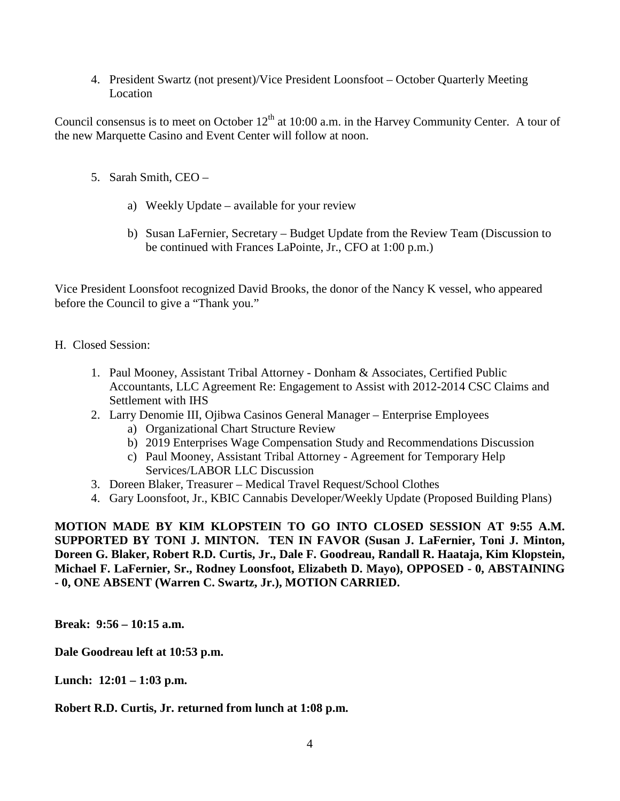4. President Swartz (not present)/Vice President Loonsfoot – October Quarterly Meeting Location

Council consensus is to meet on October  $12<sup>th</sup>$  at 10:00 a.m. in the Harvey Community Center. A tour of the new Marquette Casino and Event Center will follow at noon.

- 5. Sarah Smith, CEO
	- a) Weekly Update available for your review
	- b) Susan LaFernier, Secretary Budget Update from the Review Team (Discussion to be continued with Frances LaPointe, Jr., CFO at 1:00 p.m.)

Vice President Loonsfoot recognized David Brooks, the donor of the Nancy K vessel, who appeared before the Council to give a "Thank you."

- H. Closed Session:
	- 1. Paul Mooney, Assistant Tribal Attorney Donham & Associates, Certified Public Accountants, LLC Agreement Re: Engagement to Assist with 2012-2014 CSC Claims and Settlement with IHS
	- 2. Larry Denomie III, Ojibwa Casinos General Manager Enterprise Employees
		- a) Organizational Chart Structure Review
		- b) 2019 Enterprises Wage Compensation Study and Recommendations Discussion
		- c) Paul Mooney, Assistant Tribal Attorney Agreement for Temporary Help Services/LABOR LLC Discussion
	- 3. Doreen Blaker, Treasurer Medical Travel Request/School Clothes
	- 4. Gary Loonsfoot, Jr., KBIC Cannabis Developer/Weekly Update (Proposed Building Plans)

**MOTION MADE BY KIM KLOPSTEIN TO GO INTO CLOSED SESSION AT 9:55 A.M. SUPPORTED BY TONI J. MINTON. TEN IN FAVOR (Susan J. LaFernier, Toni J. Minton, Doreen G. Blaker, Robert R.D. Curtis, Jr., Dale F. Goodreau, Randall R. Haataja, Kim Klopstein, Michael F. LaFernier, Sr., Rodney Loonsfoot, Elizabeth D. Mayo), OPPOSED - 0, ABSTAINING - 0, ONE ABSENT (Warren C. Swartz, Jr.), MOTION CARRIED.**

**Break: 9:56 – 10:15 a.m.**

**Dale Goodreau left at 10:53 p.m.**

**Lunch: 12:01 – 1:03 p.m.**

**Robert R.D. Curtis, Jr. returned from lunch at 1:08 p.m.**